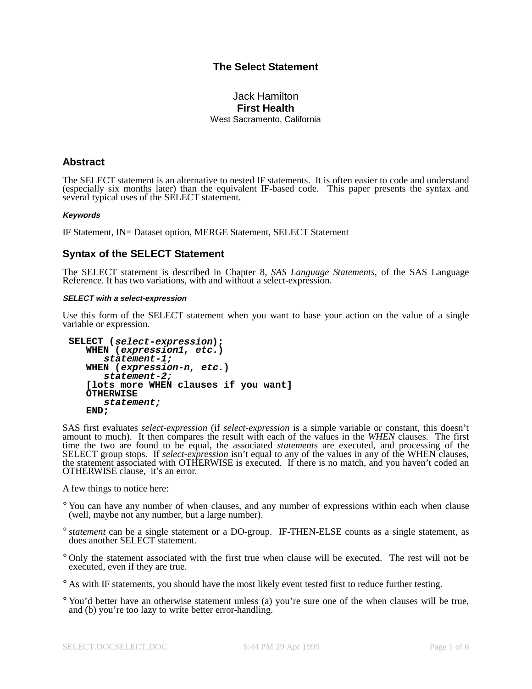# **The Select Statement**

### Jack Hamilton **First Health** West Sacramento, California

## **Abstract**

The SELECT statement is an alternative to nested IF statements. It is often easier to code and understand (especially six months later) than the equivalent IF-based code. This paper presents the syntax and several typical uses of the SELECT statement.

#### **Keywords**

IF Statement, IN= Dataset option, MERGE Statement, SELECT Statement

## **Syntax of the SELECT Statement**

The SELECT statement is described in Chapter 8, *SAS Language Statements*, of the SAS Language Reference. It has two variations, with and without a select-expression.

#### **SELECT with <sup>a</sup> select-expression**

Use this form of the SELECT statement when you want to base your action on the value of a single variable or expression.

```
SELECT (select-expression);
  WHEN (expression1, etc.)
      statement-1;
   WHEN (expression-n, etc.)
      statement-2;
   [lots more WHEN clauses if you want]
  OTHERWISE
      statement;
  END;
```
SAS first evaluates *select-expression* (if *select-expression* is a simple variable or constant, this doesn't amount to much). It then compares the result with each of the values in the *WHEN* clauses. The first time the two are found to be equal, the associated *statement*s are executed, and processing of the SELECT group stops. If *select-expression* isn't equal to any of the values in any of the WHEN clauses, the statement associated with OTHERWISE is executed. If there is no match, and you haven't coded an OTHERWISE clause, it's an error.

A few things to notice here:

- ° You can have any number of when clauses, and any number of expressions within each when clause (well, maybe not any number, but a large number).
- ° *statement* can be a single statement or a DO-group. IF-THEN-ELSE counts as a single statement, as does another SELECT statement.
- ° Only the statement associated with the first true when clause will be executed. The rest will not be executed, even if they are true.

° As with IF statements, you should have the most likely event tested first to reduce further testing.

° You'd better have an otherwise statement unless (a) you're sure one of the when clauses will be true, and (b) you're too lazy to write better error-handling.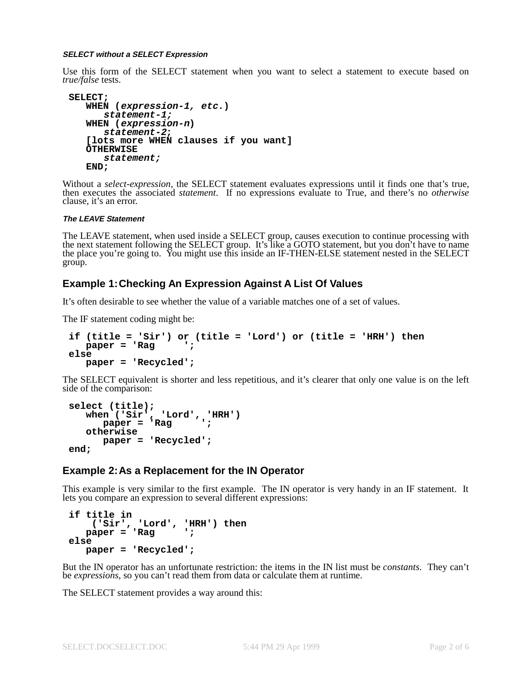#### **SELECT without <sup>a</sup> SELECT Expression**

Use this form of the SELECT statement when you want to select a statement to execute based on *true/false* tests.

```
SELECT;
  WHEN (expression-1, etc.)
      statement-1;
  WHEN (expression-n)
      statement-2;
   [lots more WHEN clauses if you want]
  OTHERWISE
      statement;
  END;
```
Without a *select-expression*, the SELECT statement evaluates expressions until it finds one that's true, then executes the associated *statement*. If no expressions evaluate to True, and there's no *otherwise* clause, it's an error.

#### **The LEAVE Statement**

The LEAVE statement, when used inside a SELECT group, causes execution to continue processing with the next statement following the SELECT group. It's like a GOTO statement, but you don't have to name the place you're going to. You might use this inside an IF-THEN-ELSE statement nested in the SELECT group.

### **Example 1:Checking An Expression Against A List Of Values**

It's often desirable to see whether the value of a variable matches one of a set of values.

The IF statement coding might be:

```
if (title = 'Sir') or (title = 'Lord') or (title = 'HRH') then
  paper = 'Rag ';
else
  paper = 'Recycled';
```
The SELECT equivalent is shorter and less repetitious, and it's clearer that only one value is on the left side of the comparison:

```
select (title);
   when ('Sir', 'Lord', 'HRH')
      paper = 'Rag ';
  otherwise
     paper = 'Recycled';
end;
```
### **Example 2:As a Replacement for the IN Operator**

This example is very similar to the first example. The IN operator is very handy in an IF statement. It lets you compare an expression to several different expressions:

```
if title in
    ('Sir', 'Lord', 'HRH') then
  paper = 'Rag ';
else
  paper = 'Recycled';
```
But the IN operator has an unfortunate restriction: the items in the IN list must be *constants*. They can't be *expressions*, so you can't read them from data or calculate them at runtime.

The SELECT statement provides a way around this: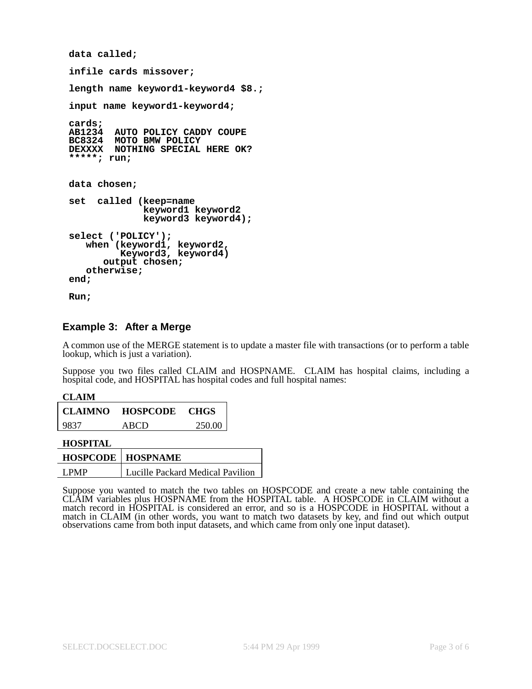```
data called;
infile cards missover;
length name keyword1-keyword4 $8.;
input name keyword1-keyword4;
cards;
        AB1234 AUTO POLICY CADDY COUPE
BC8324 MOTO BMW POLICY
DEXXXX NOTHING SPECIAL HERE OK?
*****; run;
data chosen;
set called (keep=name
             keyword1 keyword2
             keyword3 keyword4);
select ('POLICY');
   when (keyword1, keyword2,
         Keyword3, keyword4)
      output chosen;
   otherwise;
end;
Run;
```
# **Example 3: After a Merge**

A common use of the MERGE statement is to update a master file with transactions (or to perform a table lookup, which is just a variation).

Suppose you two files called CLAIM and HOSPNAME. CLAIM has hospital claims, including a hospital code, and HOSPITAL has hospital codes and full hospital names:

| <b>CLAIMNO</b> | <b>HOSPCODE</b> | - CHGS |
|----------------|-----------------|--------|
| 9837           | ABCD            | 250.00 |

**HOSPITAL**

| <b>HOSPCODE   HOSPNAME</b> |                                  |  |
|----------------------------|----------------------------------|--|
| <b>LPMP</b>                | Lucille Packard Medical Pavilion |  |

Suppose you wanted to match the two tables on HOSPCODE and create a new table containing the CLAIM variables plus HOSPNAME from the HOSPITAL table. A HOSPCODE in CLAIM without a match record in HOSPITAL is considered an error, and so is a HOSPCODE in HOSPITAL without a match in CLAIM (in other words, you want to match two datasets by key, and find out which output observations came from both input datasets, and which came from only one input dataset).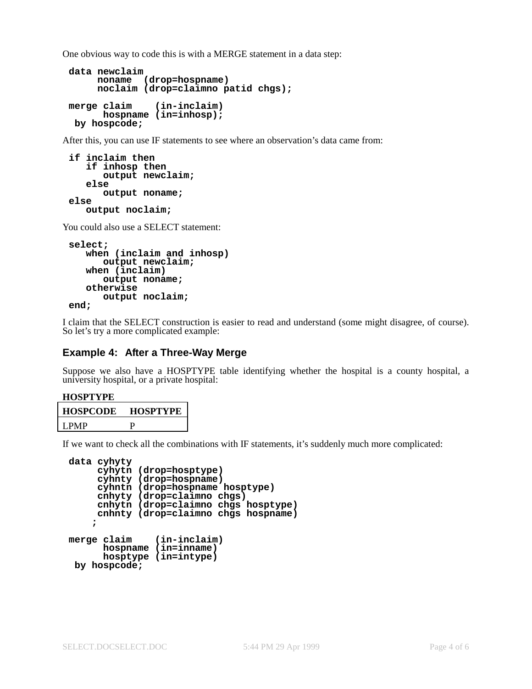One obvious way to code this is with a MERGE statement in a data step:

```
data newclaim
    noname (drop=hospname)
    noclaim (drop=claimno patid chgs);
merge claim (in-inclaim)
      hospname (in=inhosp);
 by hospcode;
```
After this, you can use IF statements to see where an observation's data came from:

```
if inclaim then
   if inhosp then
      output newclaim;
   else
      output noname;
else
   output noclaim;
```
You could also use a SELECT statement:

```
select;
  when (inclaim and inhosp)
      output newclaim;
  when (inclaim)
      output noname;
  otherwise
      output noclaim;
end;
```
I claim that the SELECT construction is easier to read and understand (some might disagree, of course). So let's try a more complicated example:

### **Example 4: After a Three-Way Merge**

Suppose we also have a HOSPTYPE table identifying whether the hospital is a county hospital, a university hospital, or a private hospital:

#### **HOSPTYPE**

| <b>HOSPCODE</b> | <b>HOSPTYPE</b> |
|-----------------|-----------------|
| LPMP            |                 |

If we want to check all the combinations with IF statements, it's suddenly much more complicated:

```
data cyhyty
     cyhytn (drop=hosptype)
     cyhnty (drop=hospname)
     cyhntn (drop=hospname hosptype)
     cnhyty (drop=claimno chgs)
     cnhytn (drop=claimno chgs hosptype)
     cnhnty (drop=claimno chgs hospname)
    ;
merge claim (in-inclaim)
      hospname (in=inname)
      hosptype (in=intype)
 by hospcode;
```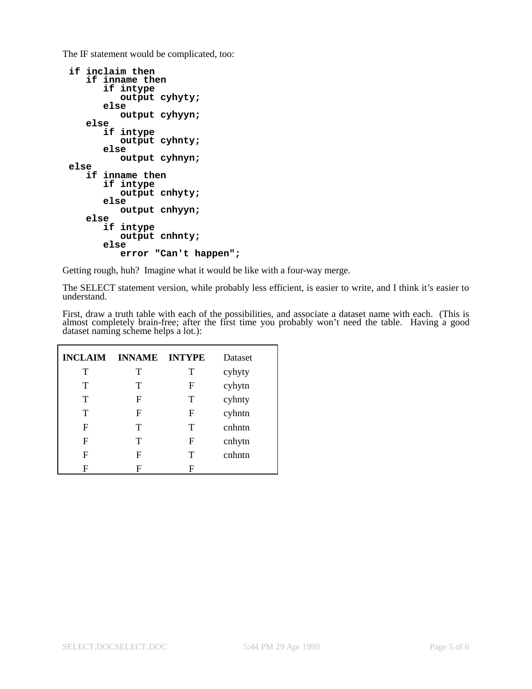The IF statement would be complicated, too:

```
if inclaim then
   if inname then
      if intype
         output cyhyty;
      else
         output cyhyyn;
  else
      if intype
         output cyhnty;
      else
         output cyhnyn;
else
  if inname then
      if intype
         output cnhyty;
      else
         output cnhyyn;
  else
      if intype
         output cnhnty;
      else
         error "Can't happen";
```
Getting rough, huh? Imagine what it would be like with a four-way merge.

The SELECT statement version, while probably less efficient, is easier to write, and I think it's easier to understand.

First, draw a truth table with each of the possibilities, and associate a dataset name with each. (This is almost completely brain-free; after the first time you probably won't need the table. Having a good dataset naming scheme helps a lot.):

| <b>INCLAIM</b> | <b>INNAME INTYPE</b> |   | Dataset |
|----------------|----------------------|---|---------|
| т              | т                    | T | cyhyty  |
| т              | т                    | F | cyhytn  |
| т              | F                    | T | cyhnty  |
| т              | F                    | F | cyhntn  |
| F              | т                    | T | cnhntn  |
| F              | т                    | F | cnhytn  |
| F              | F                    | T | cnhntn  |
| F              | F                    | F |         |